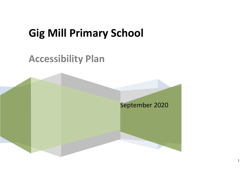# **Gig Mill Primary School**

## **Accessibility Plan**

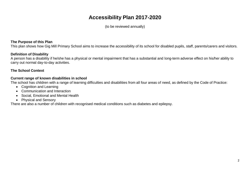### **Accessibility Plan 2017-2020**

(to be reviewed annually)

#### **The Purpose of this Plan**

This plan shows how Gig Mill Primary School aims to increase the accessibility of its school for disabled pupils, staff, parents/carers and visitors.

#### **Definition of Disability**

A person has a disability if he/she has a physical or mental impairment that has a substantial and long-term adverse effect on his/her ability to carry out normal day-to-day activities.

#### **The School Context**

#### **Current range of known disabilities in school**

The school has children with a range of learning difficulties and disabilities from all four areas of need, as defined by the Code of Practice:

- Cognition and Learning
- Communication and Interaction
- Social, Emotional and Mental Health
- Physical and Sensory

There are also a number of children with recognised medical conditions such as diabetes and epilepsy.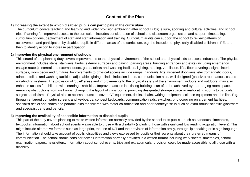#### **Context of the Plan**

#### **1) Increasing the extent to which disabled pupils can participate in the curriculum**

The curriculum covers teaching and learning and wider provision embracing after school clubs; leisure, sporting and cultural activities; and school trips. Planning for improved access to the curriculum includes consideration of school and classroom organisation and support, timetabling, curriculum options, deployment of staff and staff information and training. Curriculum audits can support the school to review patterns of achievement and participation by disabled pupils in different areas of the curriculum, e.g. the inclusion of physically disabled children in PE, and then to identify action to increase participation.

#### **2) Improving the physical environment of schools**

This strand of the planning duty covers improvements to the physical environment of the school and physical aids to access education. The physical environment includes steps, stairways, kerbs, exterior surfaces and paving, parking areas, building entrances and exits (including emergency escape routes), internal and external doors, gates, toilets and washing facilities, lighting, heating, ventilation, lifts, floor coverings, signs, interior surfaces, room decor and furniture. Improvements to physical access include ramps, handrails, lifts, widened doorways, electromagnetic doors, adapted toilets and washing facilities, adjustable lighting, blinds, induction loops, communication aids, well designed (passive) room acoustics and way-finding systems. The provision of 'quiet' areas and improvements to the physical safety of the environment, indoors and outdoors, may also enhance access for children with learning disabilities. Improved access in existing buildings can often be achieved by rearranging room space, removing obstructions from walkways, changing the layout of classrooms, providing designated storage space or reallocating rooms to particular subject specialisms. Physical aids to access education cover ICT equipment, desks, chairs, writing equipment, science equipment and the like. E.g. through enlarged computer screens and keyboards, concept keyboards, communication aids, switches, photocopying enlargement facilities, specialist desks and chairs and portable aids for children with motor co-ordination and poor hand/eye skills such as extra robust scientific glassware and specialist pens and pencils.

#### **3) Improving the availability of accessible information to disabled pupils**

This part of the duty covers planning to make written information normally provided by the school to its pupils – such as handouts, timetables, textbooks, information about school events – available to those with a disability (including those with significant low reading acquisition levels). This might include alternative formats such as large print, the use of ICT and the provision of information orally, through lip speaking or in sign language. The information should take account of pupils' disabilities and views expressed by pupils or their parents about their preferred means of communication. The school should consider how all information normally provided in a written format including work sheets, timetables, school examination papers, newsletters, information about school events, trips and extracurricular provision could be made accessible to all those with a disability.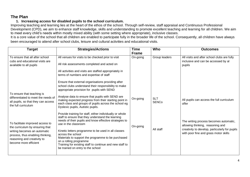#### **The Plan**

#### **1. Increasing access for disabled pupils to the school curriculum.**

Improving teaching and learning lies at the heart of the ethos of the school. Through self-review, staff appraisal and Continuous Professional Development (CPD), we aim to enhance staff knowledge, skills and understanding to promote excellent teaching and learning for all children. We aim to meet every child's needs within mostly mixed ability (with some setting where appropriate), inclusive classes.

It is a core value of the school that all children are enabled to participate fully in the broader life of the school. Consequently, all children have always been encouraged to attend after school clubs, leisure and cultural activities and educational visits.

| <b>Target</b>                                                                                                                                                                                   | <b>Strategies/Actions</b>                                                                                                                                                                                                                                                                                                                                                                                                                                    | <b>Time</b>              | Who                        | <b>Outcomes</b>                                                                                                                                                       |
|-------------------------------------------------------------------------------------------------------------------------------------------------------------------------------------------------|--------------------------------------------------------------------------------------------------------------------------------------------------------------------------------------------------------------------------------------------------------------------------------------------------------------------------------------------------------------------------------------------------------------------------------------------------------------|--------------------------|----------------------------|-----------------------------------------------------------------------------------------------------------------------------------------------------------------------|
| To ensure that all after school<br>cubs and educational visits are<br>available to all pupils                                                                                                   | All venues for visits to be checked prior to visit<br>All risk assessments completed and acted on<br>All activities and visits are staffed appropriately in<br>terms of numbers and expertise of staff<br>Ensure that external organisations providing after<br>school clubs understand their responsibility to make<br>appropriate provision for pupils with SEND                                                                                           | <b>Frame</b><br>On-going | Group leaders              | All visits and after school clubs are fully<br>inclusive and can be accessed by al<br>pupils                                                                          |
| To ensure that teaching is<br>differentiated to meet the needs of<br>all pupils, so that they can access<br>the full curriculum                                                                 | Analyse data to ensure that pupils with SEND are<br>making expected progress from their starting point in<br>each class and groups of pupils across the school eg<br>Dyslexic pupils, Autistic pupils.                                                                                                                                                                                                                                                       | On-going                 | <b>SLT</b><br><b>SENCo</b> | All pupils can access the full curriculum<br>offer                                                                                                                    |
| To facilitate improved access to<br>the curriculum by ensuring that<br>writing becomes an automatic<br>process, thus enabling thinking,<br>reasoning and creativity to<br>become more efficient | Provide training for staff, either individually or whole<br>staff to ensure that they understand the learning<br>needs of their pupils and know effective strategies to<br>use in the classroom<br>Kinetic letters programme to be used in all classes<br>across the school<br>Materials to support the programme to be purchased<br>on a rolling programme<br>Training for existing staff to continue and new staff to<br>be trained on entry to the school | On-going                 | All staff                  | The writing process becomes automatic,<br>allowing thinking, reasoning and<br>creativity to develop, particularly for pupils<br>with poor fine and grass motor skills |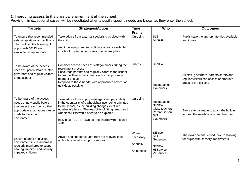#### **2. Improving access to the physical environment of the school**

Provision, in exceptional cases, will be negotiated when a pupil's specific needs are known as they enter the school.

| <b>Targets</b>                                                                                                                                                   | <b>Strategies/Action</b>                                                                                                                                                                                                                                                                                                                   | <b>Time</b>                                | Who                                                                                        | <b>Outcomes</b>                                                                                              |
|------------------------------------------------------------------------------------------------------------------------------------------------------------------|--------------------------------------------------------------------------------------------------------------------------------------------------------------------------------------------------------------------------------------------------------------------------------------------------------------------------------------------|--------------------------------------------|--------------------------------------------------------------------------------------------|--------------------------------------------------------------------------------------------------------------|
| To ensure that recommended<br>aids, adaptations and software<br>which will aid the learning of<br>pupils with SEND are<br>available, as appropriate              | Take advice from external specialists involved with<br>the child<br>Audit the equipment and software already available<br>in school. Store unused items in a central place                                                                                                                                                                 | <b>Frame</b><br>On-going                   | <b>SLT</b><br><b>SENCo</b>                                                                 | Pupils have the appropriate aids available<br>and in use                                                     |
| To be aware of the access<br>needs of parents/carers, staff,<br>governors and regular visitors<br>to the school                                                  | Consider access needs of staff/governors during the<br>recruitment process<br>Encourage parents and regular visitors to the school<br>to discuss their access needs with an appropriate<br>member of staff<br>Respond to these needs, with appropriate advice, as<br>quickly as possible                                                   | July 17                                    | <b>SENCo</b><br>Headteacher<br>Governors                                                   | All staff, governors, parents/carers and<br>regular visitors can access appropriate<br>areas of the building |
| To be aware of the access<br>needs of new pupils before<br>they enter the school, so that<br>appropriate adaptations can be<br>made to the school<br>environment | Take advice from appropriate agencies, particularly<br>in the eventuality of a wheelchair user being admitted<br>to the school, as the building changes level in a<br>number of places. The feasibility of fitting ramps and<br>wheelchair lifts would need to be explored<br>Individual PEEPs drawn up and shared with relevant<br>staff. | On-going                                   | Headteacher<br><b>SENCo</b><br>Class teachers<br>Parent Liaison<br><b>SLT</b><br>Governors | Every effort is made to adapt the building<br>to meet the needs of a wheelchair user                         |
| Ensure hearing and visual<br>environment in classrooms is<br>regularly monitored to support<br>hearing impaired and visually<br>impaired children.               | Advice and support sought from the relevant local<br>authority specialist support services.                                                                                                                                                                                                                                                | When<br>necessary<br>Annually<br>As needed | <b>SENCo</b><br><b>SLT</b><br>Governors<br><b>SENCo</b><br><b>HI</b> Service<br>VI Service | The environment is conducive to learning<br>for pupils with sensory impairments                              |